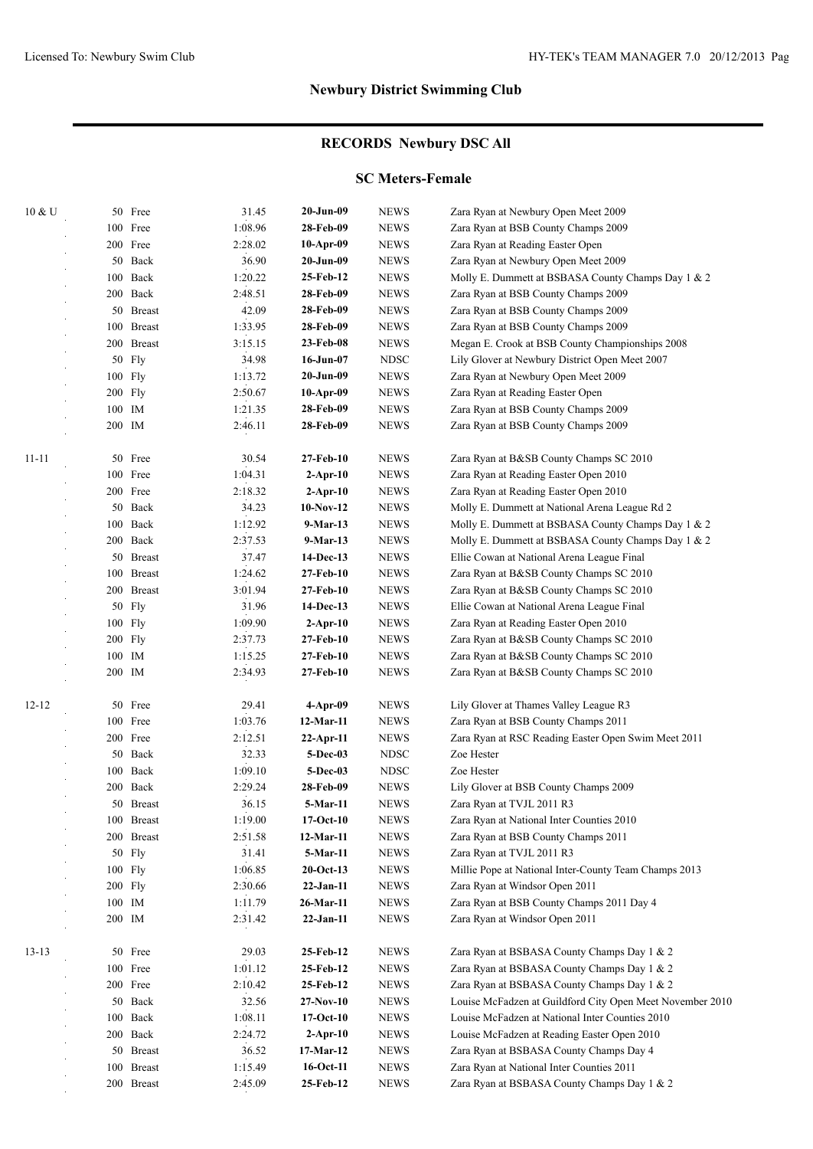## **RECORDS Newbury DSC All**

#### **SC Meters-Female**

| 10 & U    |         | 50 Free                    | 31.45   | $20-Jun-09$   | <b>NEWS</b> | Zara Ryan at Newbury Open Meet 2009                       |
|-----------|---------|----------------------------|---------|---------------|-------------|-----------------------------------------------------------|
|           |         | 100 Free                   | 1:08.96 | 28-Feb-09     | <b>NEWS</b> | Zara Ryan at BSB County Champs 2009                       |
|           |         | 200 Free                   | 2:28.02 | $10-Apr-09$   | <b>NEWS</b> | Zara Ryan at Reading Easter Open                          |
|           |         | 50 Back                    | 36.90   | $20 - Jun-09$ | <b>NEWS</b> | Zara Ryan at Newbury Open Meet 2009                       |
|           |         | 100 Back                   | 1:20.22 | 25-Feb-12     | <b>NEWS</b> | Molly E. Dummett at BSBASA County Champs Day 1 & 2        |
|           |         | 200 Back                   | 2:48.51 | 28-Feb-09     | <b>NEWS</b> | Zara Ryan at BSB County Champs 2009                       |
|           |         | 50 Breast                  | 42.09   | 28-Feb-09     | <b>NEWS</b> | Zara Ryan at BSB County Champs 2009                       |
|           |         | 100 Breast                 | 1:33.95 | 28-Feb-09     | <b>NEWS</b> | Zara Ryan at BSB County Champs 2009                       |
|           |         | 200 Breast                 | 3:15.15 | 23-Feb-08     | <b>NEWS</b> | Megan E. Crook at BSB County Championships 2008           |
|           |         | 50 Fly                     | 34.98   | $16$ -Jun-07  | <b>NDSC</b> | Lily Glover at Newbury District Open Meet 2007            |
|           |         | 100 Fly                    | 1:13.72 | $20 - Jun-09$ | <b>NEWS</b> | Zara Ryan at Newbury Open Meet 2009                       |
|           | 200 Fly |                            | 2:50.67 | $10-Apr-09$   | <b>NEWS</b> | Zara Ryan at Reading Easter Open                          |
|           | 100 IM  |                            | 1:21.35 | 28-Feb-09     | <b>NEWS</b> | Zara Ryan at BSB County Champs 2009                       |
|           | 200 IM  |                            | 2:46.11 | 28-Feb-09     | <b>NEWS</b> | Zara Ryan at BSB County Champs 2009                       |
|           |         |                            |         |               |             |                                                           |
| $11 - 11$ |         | 50 Free                    | 30.54   | 27-Feb-10     | <b>NEWS</b> | Zara Ryan at B&SB County Champs SC 2010                   |
|           |         | 100 Free                   | 1:04.31 | $2$ -Apr-10   | <b>NEWS</b> | Zara Ryan at Reading Easter Open 2010                     |
|           |         | 200 Free                   | 2:18.32 | $2-Apr-10$    | <b>NEWS</b> | Zara Ryan at Reading Easter Open 2010                     |
|           |         | 50 Back                    | 34.23   | $10-Nov-12$   | <b>NEWS</b> | Molly E. Dummett at National Arena League Rd 2            |
|           |         | 100 Back                   | 1:12.92 | $9-Mar-13$    | <b>NEWS</b> | Molly E. Dummett at BSBASA County Champs Day 1 & 2        |
|           |         | 200 Back                   | 2:37.53 | 9-Mar-13      | <b>NEWS</b> | Molly E. Dummett at BSBASA County Champs Day 1 & 2        |
|           |         | 50 Breast                  | 37.47   | 14-Dec-13     | <b>NEWS</b> | Ellie Cowan at National Arena League Final                |
|           |         | 100 Breast                 | 1:24.62 | 27-Feb-10     | <b>NEWS</b> | Zara Ryan at B&SB County Champs SC 2010                   |
|           |         | 200 Breast                 | 3:01.94 | 27-Feb-10     | <b>NEWS</b> | Zara Ryan at B&SB County Champs SC 2010                   |
|           |         | 50 Fly                     | 31.96   | 14-Dec-13     | <b>NEWS</b> | Ellie Cowan at National Arena League Final                |
|           |         | 100 Fly                    | 1:09.90 | $2$ -Apr-10   | <b>NEWS</b> | Zara Ryan at Reading Easter Open 2010                     |
|           | 200 Fly |                            | 2:37.73 | 27-Feb-10     | <b>NEWS</b> | Zara Ryan at B&SB County Champs SC 2010                   |
|           | 100 IM  |                            | 1:15.25 | 27-Feb-10     | <b>NEWS</b> | Zara Ryan at B&SB County Champs SC 2010                   |
|           | 200 IM  |                            | 2:34.93 | 27-Feb-10     | <b>NEWS</b> | Zara Ryan at B&SB County Champs SC 2010                   |
| $12 - 12$ |         | 50 Free                    | 29.41   | $4-Apr-09$    | <b>NEWS</b> | Lily Glover at Thames Valley League R3                    |
|           |         | 100 Free                   | 1:03.76 | 12-Mar-11     | <b>NEWS</b> | Zara Ryan at BSB County Champs 2011                       |
|           |         | 200 Free                   | 2:12.51 | $22-Apr-11$   | <b>NEWS</b> | Zara Ryan at RSC Reading Easter Open Swim Meet 2011       |
|           |         | 50 Back                    | 32.33   | 5-Dec-03      | <b>NDSC</b> | Zoe Hester                                                |
|           |         | 100 Back                   | 1:09.10 | 5-Dec-03      | <b>NDSC</b> | Zoe Hester                                                |
|           |         | 200 Back                   | 2:29.24 | 28-Feb-09     | <b>NEWS</b> | Lily Glover at BSB County Champs 2009                     |
|           |         |                            |         |               |             | Zara Ryan at TVJL 2011 R3                                 |
|           |         | 50 Breast                  | 36.15   | 5-Mar-11      | <b>NEWS</b> |                                                           |
|           |         | $100$ Breast<br>200 Breast | 1:19.00 | $17-Oct-10$   | <b>NEWS</b> | Zara Ryan at National Inter Counties 2010                 |
|           |         |                            | 2:51.58 | 12-Mar-11     | <b>NEWS</b> | Zara Ryan at BSB County Champs 2011                       |
|           |         | 50 Fly                     | 31.41   | 5-Mar-11      | <b>NEWS</b> | Zara Ryan at TVJL 2011 R3                                 |
|           |         | 100 Fly                    | 1:06.85 | $20$ -Oct-13  | <b>NEWS</b> | Millie Pope at National Inter-County Team Champs 2013     |
|           |         | 200 Fly                    | 2:30.66 | $22-Jan-11$   | <b>NEWS</b> | Zara Ryan at Windsor Open 2011                            |
|           |         | 100 IM                     | 1:11.79 | 26-Mar-11     | <b>NEWS</b> | Zara Ryan at BSB County Champs 2011 Day 4                 |
|           | 200 IM  |                            | 2:31.42 | $22-Jan-11$   | <b>NEWS</b> | Zara Ryan at Windsor Open 2011                            |
| $13 - 13$ |         | 50 Free                    | 29.03   | 25-Feb-12     | <b>NEWS</b> | Zara Ryan at BSBASA County Champs Day 1 & 2               |
|           |         | 100 Free                   | 1:01.12 | 25-Feb-12     | <b>NEWS</b> | Zara Ryan at BSBASA County Champs Day 1 & 2               |
|           |         | 200 Free                   | 2:10.42 | 25-Feb-12     | <b>NEWS</b> | Zara Ryan at BSBASA County Champs Day 1 & 2               |
|           |         | 50 Back                    | 32.56   | $27-Nov-10$   | <b>NEWS</b> | Louise McFadzen at Guildford City Open Meet November 2010 |
|           |         | 100 Back                   | 1:08.11 | $17-Oct-10$   | <b>NEWS</b> | Louise McFadzen at National Inter Counties 2010           |
|           |         | 200 Back                   | 2:24.72 | $2-Apr-10$    | <b>NEWS</b> | Louise McFadzen at Reading Easter Open 2010               |
|           |         | 50 Breast                  | 36.52   | 17-Mar-12     | <b>NEWS</b> | Zara Ryan at BSBASA County Champs Day 4                   |
|           |         | 100 Breast                 | 1:15.49 | 16-Oct-11     | <b>NEWS</b> | Zara Ryan at National Inter Counties 2011                 |
|           |         | 200 Breast                 | 2:45.09 | 25-Feb-12     | <b>NEWS</b> | Zara Ryan at BSBASA County Champs Day 1 & 2               |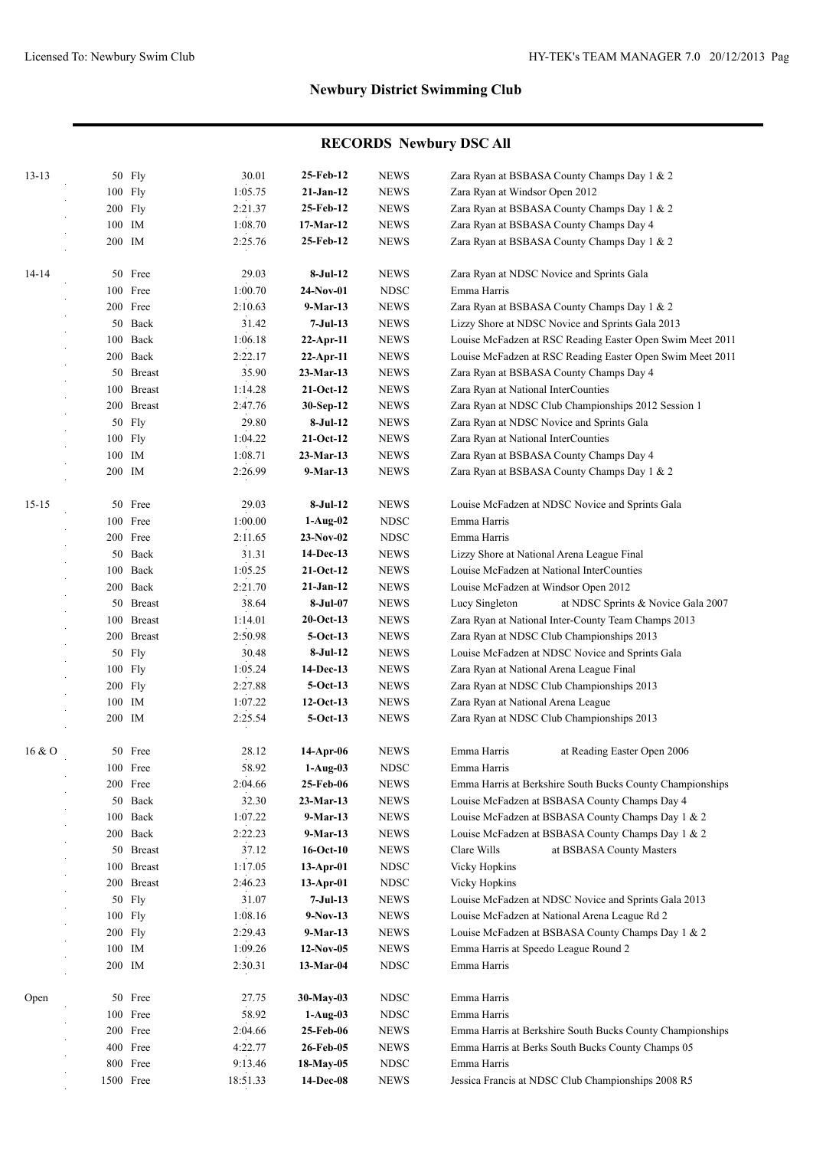| $13 - 13$ | 50 Fly     | 30.01    | 25-Feb-12       | <b>NEWS</b> | Zara Ryan at BSBASA County Champs Day 1 & 2               |
|-----------|------------|----------|-----------------|-------------|-----------------------------------------------------------|
|           | 100 Fly    | 1:05.75  | $21-Jan-12$     | <b>NEWS</b> | Zara Ryan at Windsor Open 2012                            |
|           | 200 Fly    | 2:21.37  | 25-Feb-12       | <b>NEWS</b> | Zara Ryan at BSBASA County Champs Day 1 & 2               |
|           | 100 IM     | 1:08.70  | 17-Mar-12       | <b>NEWS</b> | Zara Ryan at BSBASA County Champs Day 4                   |
|           | 200 IM     | 2:25.76  | 25-Feb-12       | <b>NEWS</b> | Zara Ryan at BSBASA County Champs Day 1 & 2               |
|           |            |          |                 |             |                                                           |
| $14 - 14$ | 50 Free    | 29.03    | 8-Jul-12        | <b>NEWS</b> | Zara Ryan at NDSC Novice and Sprints Gala                 |
|           | 100 Free   | 1:00.70  | $24-Nov-01$     | <b>NDSC</b> | Emma Harris                                               |
|           | 200 Free   | 2:10.63  | 9-Mar-13        | <b>NEWS</b> | Zara Ryan at BSBASA County Champs Day 1 & 2               |
|           | 50 Back    | 31.42    | 7-Jul-13        | <b>NEWS</b> | Lizzy Shore at NDSC Novice and Sprints Gala 2013          |
|           | 100 Back   | 1:06.18  | $22-Apr-11$     | <b>NEWS</b> | Louise McFadzen at RSC Reading Easter Open Swim Meet 2011 |
|           | 200 Back   | 2:22.17  | $22-Apr-11$     | <b>NEWS</b> | Louise McFadzen at RSC Reading Easter Open Swim Meet 2011 |
|           | 50 Breast  | 35.90    | 23-Mar-13       | <b>NEWS</b> | Zara Ryan at BSBASA County Champs Day 4                   |
|           | 100 Breast | 1:14.28  | $21-Oct-12$     | <b>NEWS</b> | Zara Ryan at National InterCounties                       |
|           | 200 Breast | 2:47.76  | 30-Sep-12       | <b>NEWS</b> | Zara Ryan at NDSC Club Championships 2012 Session 1       |
|           | 50 Fly     | 29.80    | 8-Jul-12        | <b>NEWS</b> | Zara Ryan at NDSC Novice and Sprints Gala                 |
|           | 100 Fly    | 1:04.22  | $21-Oct-12$     | <b>NEWS</b> | Zara Ryan at National InterCounties                       |
|           | 100 IM     | 1:08.71  | $23-Mar-13$     | <b>NEWS</b> | Zara Ryan at BSBASA County Champs Day 4                   |
|           | 200 IM     | 2:26.99  | 9-Mar-13        | <b>NEWS</b> | Zara Ryan at BSBASA County Champs Day 1 & 2               |
|           |            |          |                 |             |                                                           |
| $15 - 15$ | 50 Free    | 29.03    | $8-Jul-12$      | <b>NEWS</b> | Louise McFadzen at NDSC Novice and Sprints Gala           |
|           | 100 Free   | 1:00.00  | $1-Aug-02$      | <b>NDSC</b> | Emma Harris                                               |
|           | 200 Free   | 2:11.65  | $23-Nov-02$     | <b>NDSC</b> | Emma Harris                                               |
|           | 50 Back    | 31.31    | 14-Dec-13       | <b>NEWS</b> | Lizzy Shore at National Arena League Final                |
|           | 100 Back   | 1:05.25  | $21-Oct-12$     | <b>NEWS</b> | Louise McFadzen at National InterCounties                 |
|           | 200 Back   | 2:21.70  | $21-Jan-12$     | <b>NEWS</b> | Louise McFadzen at Windsor Open 2012                      |
|           | 50 Breast  | 38.64    | 8-Jul-07        | <b>NEWS</b> | Lucy Singleton<br>at NDSC Sprints & Novice Gala 2007      |
|           | 100 Breast | 1:14.01  | $20$ -Oct-13    | <b>NEWS</b> | Zara Ryan at National Inter-County Team Champs 2013       |
|           | 200 Breast | 2:50.98  | $5-Oct-13$      | <b>NEWS</b> | Zara Ryan at NDSC Club Championships 2013                 |
|           | 50 Fly     | 30.48    | 8-Jul-12        | <b>NEWS</b> | Louise McFadzen at NDSC Novice and Sprints Gala           |
|           | 100 Fly    | 1:05.24  | 14-Dec-13       | <b>NEWS</b> | Zara Ryan at National Arena League Final                  |
|           | 200 Fly    | 2:27.88  | $5-Oct-13$      | <b>NEWS</b> | Zara Ryan at NDSC Club Championships 2013                 |
|           | 100 IM     | 1:07.22  | $12-Oct-13$     | <b>NEWS</b> | Zara Ryan at National Arena League                        |
|           | 200 IM     | 2:25.54  | $5-Oct-13$      | <b>NEWS</b> | Zara Ryan at NDSC Club Championships 2013                 |
|           |            |          |                 |             |                                                           |
| 16&0      | 50 Free    | 28.12    | 14-Apr-06       | <b>NEWS</b> | Emma Harris<br>at Reading Easter Open 2006                |
|           | 100 Free   | 58.92    | $1-Aug-03$      | <b>NDSC</b> | Emma Harris                                               |
|           | 200 Free   | 2:04.66  | 25-Feb-06       | <b>NEWS</b> | Emma Harris at Berkshire South Bucks County Championships |
|           | 50 Back    | 32.30    | 23-Mar-13       | <b>NEWS</b> | Louise McFadzen at BSBASA County Champs Day 4             |
|           | 100 Back   | 1:07.22  | $9-Mar-13$      | <b>NEWS</b> | Louise McFadzen at BSBASA County Champs Day 1 & 2         |
|           | 200 Back   | 2:22.23  | 9-Mar-13        | <b>NEWS</b> | Louise McFadzen at BSBASA County Champs Day 1 & 2         |
|           | 50 Breast  | 37.12    | $16$ -Oct- $10$ | <b>NEWS</b> | Clare Wills<br>at BSBASA County Masters                   |
|           | 100 Breast | 1:17.05  | $13-Apr-01$     | <b>NDSC</b> | Vicky Hopkins                                             |
|           | 200 Breast | 2:46.23  | $13-Apr-01$     | <b>NDSC</b> | Vicky Hopkins                                             |
|           | 50 Fly     | 31.07    | $7-Jul-13$      | <b>NEWS</b> | Louise McFadzen at NDSC Novice and Sprints Gala 2013      |
|           | 100 Fly    | 1:08.16  | $9-Nov-13$      | <b>NEWS</b> | Louise McFadzen at National Arena League Rd 2             |
|           | 200 Fly    | 2:29.43  | 9-Mar-13        | <b>NEWS</b> | Louise McFadzen at BSBASA County Champs Day 1 & 2         |
|           | 100 IM     | 1:09.26  | $12-Nov-05$     | <b>NEWS</b> | Emma Harris at Speedo League Round 2                      |
|           | 200 IM     | 2:30.31  | $13-Mar-04$     | <b>NDSC</b> | Emma Harris                                               |
| Open      | 50 Free    | 27.75    | 30-May-03       | <b>NDSC</b> | Emma Harris                                               |
|           | 100 Free   | 58.92    | $1-Aug-03$      | <b>NDSC</b> | Emma Harris                                               |
|           | 200 Free   | 2:04.66  | 25-Feb-06       | <b>NEWS</b> | Emma Harris at Berkshire South Bucks County Championships |
|           | 400 Free   | 4:22.77  | 26-Feb-05       | <b>NEWS</b> | Emma Harris at Berks South Bucks County Champs 05         |
|           | 800 Free   | 9:13.46  | 18-May-05       | <b>NDSC</b> | Emma Harris                                               |
|           |            |          | 14-Dec-08       |             |                                                           |
|           | 1500 Free  | 18:51.33 |                 | <b>NEWS</b> | Jessica Francis at NDSC Club Championships 2008 R5        |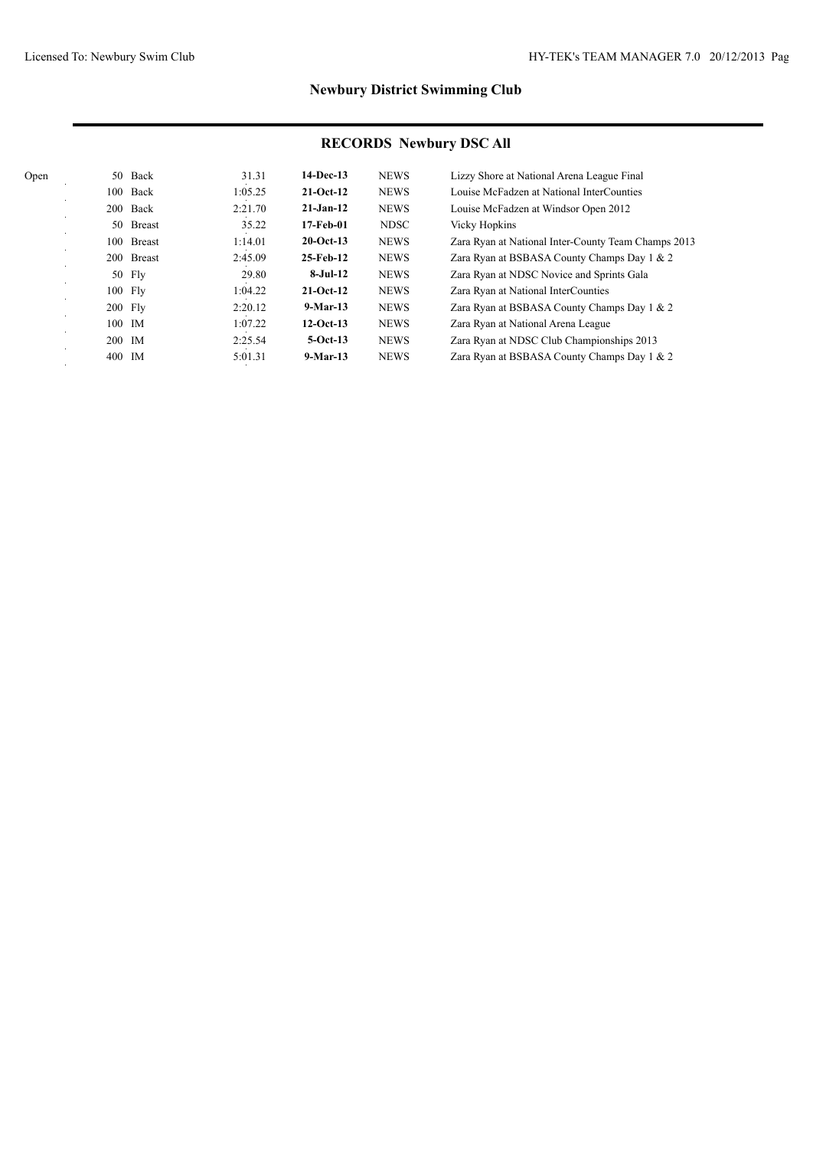| Open | 50     | Back          | 31.31   | $14-Dec-13$  | <b>NEWS</b> | Lizzy Shore at National Arena League Final          |
|------|--------|---------------|---------|--------------|-------------|-----------------------------------------------------|
|      | 100    | Back          | 1:05.25 | $21-Oct-12$  | <b>NEWS</b> | Louise McFadzen at National InterCounties           |
|      | 200    | Back          | 2:21.70 | $21-Jan-12$  | <b>NEWS</b> | Louise McFadzen at Windsor Open 2012                |
|      | 50     | <b>Breast</b> | 35.22   | 17-Feb-01    | <b>NDSC</b> | <b>Vicky Hopkins</b>                                |
|      | 100    | <b>Breast</b> | 1:14.01 | $20$ -Oct-13 | <b>NEWS</b> | Zara Ryan at National Inter-County Team Champs 2013 |
|      |        | 200 Breast    | 2:45.09 | 25-Feb-12    | <b>NEWS</b> | Zara Ryan at BSBASA County Champs Day 1 & 2         |
|      |        | 50 Fly        | 29.80   | $8-Jul-12$   | <b>NEWS</b> | Zara Ryan at NDSC Novice and Sprints Gala           |
|      |        | 100 Fly       | 1:04.22 | $21-Oct-12$  | <b>NEWS</b> | Zara Ryan at National InterCounties                 |
|      |        | 200 Fly       | 2:20.12 | $9-Mar-13$   | <b>NEWS</b> | Zara Ryan at BSBASA County Champs Day 1 & 2         |
|      |        | 100 IM        | 1:07.22 | $12-Oct-13$  | <b>NEWS</b> | Zara Ryan at National Arena League                  |
|      | 200 IM |               | 2:25.54 | $5-Oct-13$   | <b>NEWS</b> | Zara Ryan at NDSC Club Championships 2013           |
|      | 400    | IM            | 5:01.31 | $9-Mar-13$   | <b>NEWS</b> | Zara Ryan at BSBASA County Champs Day 1 & 2         |
|      |        |               |         |              |             |                                                     |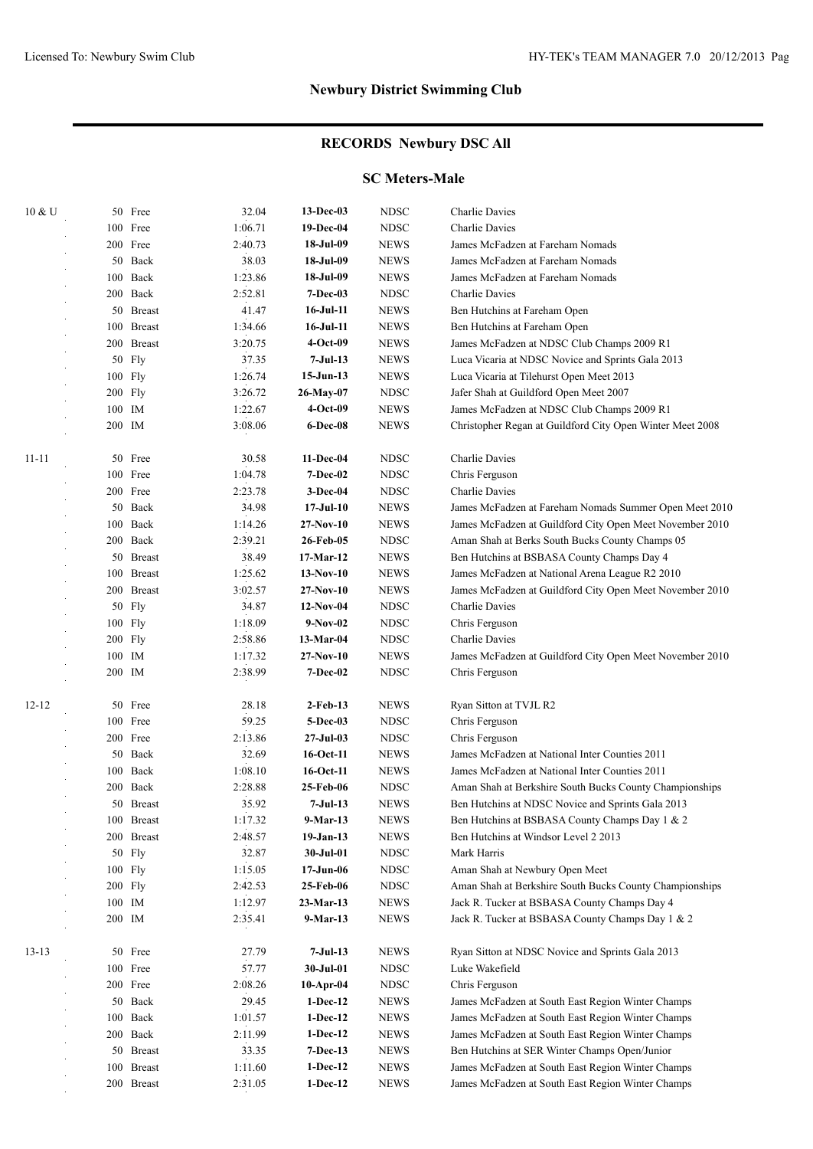## **RECORDS Newbury DSC All**

#### **SC Meters-Male**

| 10 & U    |        | 50 Free    | 32.04   | 13-Dec-03        | <b>NDSC</b> | Charlie Davies                                            |
|-----------|--------|------------|---------|------------------|-------------|-----------------------------------------------------------|
|           |        | 100 Free   | 1:06.71 | 19-Dec-04        | <b>NDSC</b> | Charlie Davies                                            |
|           |        | 200 Free   | 2:40.73 | 18-Jul-09        | <b>NEWS</b> | James McFadzen at Fareham Nomads                          |
|           |        | 50 Back    | 38.03   | 18-Jul-09        | <b>NEWS</b> | James McFadzen at Fareham Nomads                          |
|           |        | 100 Back   | 1:23.86 | 18-Jul-09        | <b>NEWS</b> | James McFadzen at Fareham Nomads                          |
|           |        | 200 Back   | 2:52.81 | $7 - Dec-03$     | <b>NDSC</b> | Charlie Davies                                            |
|           |        | 50 Breast  | 41.47   | 16-Jul-11        | <b>NEWS</b> | Ben Hutchins at Fareham Open                              |
|           |        | 100 Breast | 1:34.66 | $16$ -Jul- $11$  | <b>NEWS</b> | Ben Hutchins at Fareham Open                              |
|           |        | 200 Breast | 3:20.75 | 4-Oct-09         | <b>NEWS</b> | James McFadzen at NDSC Club Champs 2009 R1                |
|           |        | 50 Fly     | 37.35   | $7-Jul-13$       | <b>NEWS</b> | Luca Vicaria at NDSC Novice and Sprints Gala 2013         |
|           |        | 100 Fly    | 1:26.74 | $15-Jun-13$      | <b>NEWS</b> | Luca Vicaria at Tilehurst Open Meet 2013                  |
|           |        | 200 Fly    | 3:26.72 | 26-May-07        | <b>NDSC</b> | Jafer Shah at Guildford Open Meet 2007                    |
|           | 100 IM |            | 1:22.67 | 4-Oct-09         | <b>NEWS</b> | James McFadzen at NDSC Club Champs 2009 R1                |
|           | 200 IM |            | 3:08.06 | 6-Dec-08         | <b>NEWS</b> | Christopher Regan at Guildford City Open Winter Meet 2008 |
| $11 - 11$ |        | 50 Free    | 30.58   | 11-Dec-04        | <b>NDSC</b> | Charlie Davies                                            |
|           |        | 100 Free   | 1:04.78 | $7 - Dec-02$     | <b>NDSC</b> | Chris Ferguson                                            |
|           |        | 200 Free   | 2:23.78 | $3-Dec-04$       | <b>NDSC</b> | Charlie Davies                                            |
|           |        | 50 Back    | 34.98   | $17-JuI-10$      | <b>NEWS</b> | James McFadzen at Fareham Nomads Summer Open Meet 2010    |
|           |        | 100 Back   | 1:14.26 | $27-Nov-10$      | <b>NEWS</b> | James McFadzen at Guildford City Open Meet November 2010  |
|           |        | 200 Back   | 2:39.21 | 26-Feb-05        | <b>NDSC</b> | Aman Shah at Berks South Bucks County Champs 05           |
|           |        | 50 Breast  | 38.49   | 17-Mar-12        | <b>NEWS</b> | Ben Hutchins at BSBASA County Champs Day 4                |
|           |        | 100 Breast | 1:25.62 | $13-Nov-10$      | <b>NEWS</b> | James McFadzen at National Arena League R2 2010           |
|           |        | 200 Breast | 3:02.57 | $27-Nov-10$      | <b>NEWS</b> | James McFadzen at Guildford City Open Meet November 2010  |
|           |        | 50 Fly     | 34.87   | $12-Nov-04$      | <b>NDSC</b> | Charlie Davies                                            |
|           |        | 100 Fly    | 1:18.09 | $9-Nov-02$       | <b>NDSC</b> | Chris Ferguson                                            |
|           |        | 200 Fly    | 2:58.86 | 13-Mar-04        | <b>NDSC</b> | Charlie Davies                                            |
|           | 100 IM |            | 1:17.32 | $27-Nov-10$      | <b>NEWS</b> | James McFadzen at Guildford City Open Meet November 2010  |
|           | 200 IM |            | 2:38.99 | 7-Dec-02         | <b>NDSC</b> | Chris Ferguson                                            |
| $12 - 12$ |        | 50 Free    | 28.18   | $2$ -Feb-13      | <b>NEWS</b> | Ryan Sitton at TVJL R2                                    |
|           |        | 100 Free   | 59.25   | 5-Dec-03         | <b>NDSC</b> | Chris Ferguson                                            |
|           |        | 200 Free   | 2:13.86 | $27 -$ Jul $-03$ | <b>NDSC</b> | Chris Ferguson                                            |
|           |        | 50 Back    | 32.69   | 16-Oct-11        | <b>NEWS</b> | James McFadzen at National Inter Counties 2011            |
|           |        | 100 Back   | 1:08.10 | 16-Oct-11        | <b>NEWS</b> | James McFadzen at National Inter Counties 2011            |
|           |        | 200 Back   | 2:28.88 | 25-Feb-06        | <b>NDSC</b> | Aman Shah at Berkshire South Bucks County Championships   |
|           |        | 50 Breast  | 35.92   | 7-Jul-13         | <b>NEWS</b> | Ben Hutchins at NDSC Novice and Sprints Gala 2013         |
|           |        | 100 Breast | 1:17.32 | 9-Mar-13         | <b>NEWS</b> | Ben Hutchins at BSBASA County Champs Day 1 & 2            |
|           |        | 200 Breast | 2:48.57 | $19-Jan-13$      | <b>NEWS</b> | Ben Hutchins at Windsor Level 2 2013                      |
|           |        | 50 Fly     | 32.87   | 30-Jul-01        | <b>NDSC</b> | Mark Harris                                               |
|           |        | 100 Fly    | 1:15.05 | $17 - Jun-06$    | <b>NDSC</b> | Aman Shah at Newbury Open Meet                            |
|           |        | 200 Fly    | 2:42.53 | 25-Feb-06        | <b>NDSC</b> | Aman Shah at Berkshire South Bucks County Championships   |
|           |        | 100 IM     | 1:12.97 | $23-Mar-13$      | <b>NEWS</b> | Jack R. Tucker at BSBASA County Champs Day 4              |
|           | 200 IM |            | 2:35.41 | 9-Mar-13         | <b>NEWS</b> | Jack R. Tucker at BSBASA County Champs Day 1 & 2          |
| $13 - 13$ |        | 50 Free    | 27.79   | $7-Jul-13$       | <b>NEWS</b> | Ryan Sitton at NDSC Novice and Sprints Gala 2013          |
|           |        | 100 Free   | 57.77   | 30-Jul-01        | <b>NDSC</b> | Luke Wakefield                                            |
|           |        | 200 Free   | 2:08.26 | $10-Apr-04$      | <b>NDSC</b> | Chris Ferguson                                            |
|           |        | 50 Back    | 29.45   | $1-Dec-12$       | <b>NEWS</b> | James McFadzen at South East Region Winter Champs         |
|           |        | 100 Back   | 1:01.57 | $1-Dec-12$       | <b>NEWS</b> | James McFadzen at South East Region Winter Champs         |
|           |        | 200 Back   | 2:11.99 | $1-Dec-12$       | <b>NEWS</b> | James McFadzen at South East Region Winter Champs         |
|           |        | 50 Breast  | 33.35   | $7-Dec-13$       | <b>NEWS</b> | Ben Hutchins at SER Winter Champs Open/Junior             |
|           |        | 100 Breast | 1:11.60 | $1-Dec-12$       | <b>NEWS</b> | James McFadzen at South East Region Winter Champs         |
|           |        | 200 Breast | 2:31.05 | $1-Dec-12$       | <b>NEWS</b> | James McFadzen at South East Region Winter Champs         |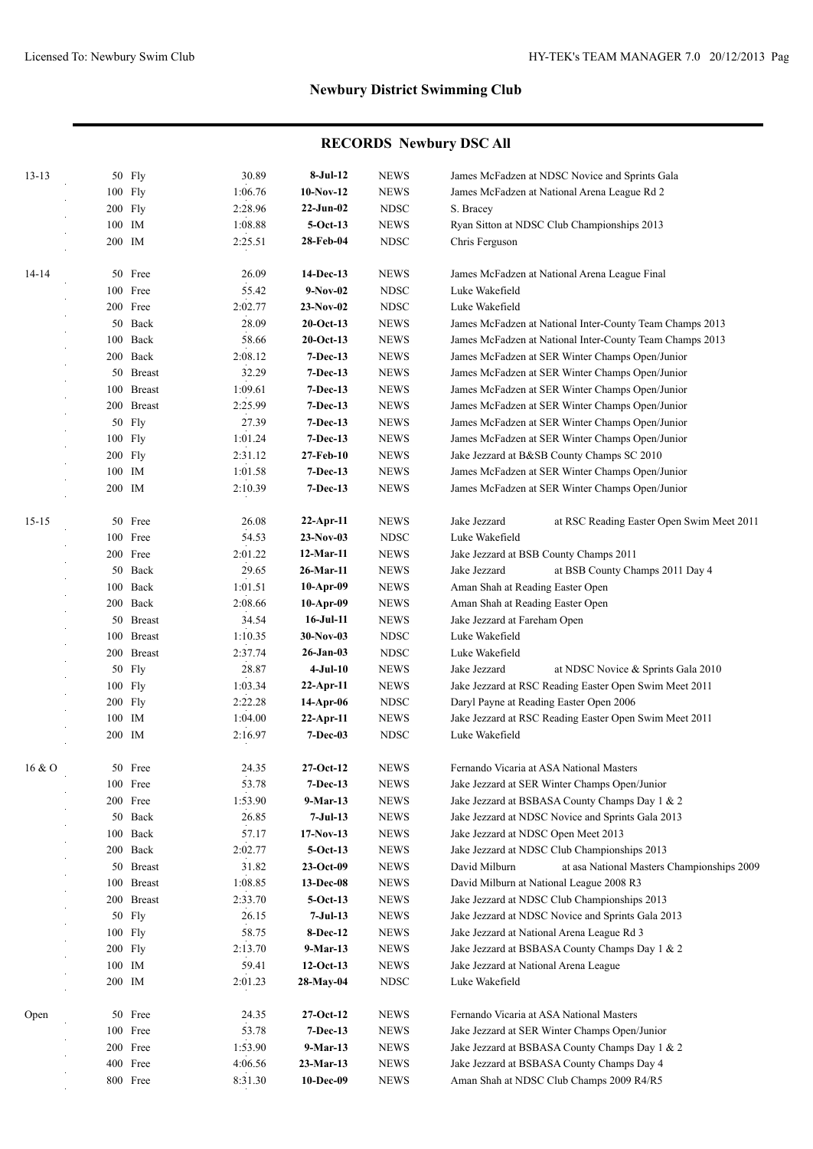| $13 - 13$ |        | 50 Fly     | 30.89   | 8-Jul-12        | <b>NEWS</b> | James McFadzen at NDSC Novice and Sprints Gala              |
|-----------|--------|------------|---------|-----------------|-------------|-------------------------------------------------------------|
|           |        | 100 Fly    | 1:06.76 | $10-Nov-12$     | <b>NEWS</b> | James McFadzen at National Arena League Rd 2                |
|           |        | 200 Fly    | 2:28.96 | $22-Jun-02$     | <b>NDSC</b> | S. Bracey                                                   |
|           |        | 100 IM     | 1:08.88 | $5-Oct-13$      | <b>NEWS</b> | Ryan Sitton at NDSC Club Championships 2013                 |
|           |        | 200 IM     | 2:25.51 | 28-Feb-04       | <b>NDSC</b> | Chris Ferguson                                              |
| $14-14$   |        | 50 Free    | 26.09   | 14-Dec-13       | <b>NEWS</b> | James McFadzen at National Arena League Final               |
|           |        | 100 Free   | 55.42   | $9-Nov-02$      | <b>NDSC</b> | Luke Wakefield                                              |
|           |        | 200 Free   | 2:02.77 | $23-Nov-02$     | <b>NDSC</b> | Luke Wakefield                                              |
|           |        | 50 Back    | 28.09   | $20$ -Oct-13    | <b>NEWS</b> | James McFadzen at National Inter-County Team Champs 2013    |
|           |        | 100 Back   | 58.66   | $20$ -Oct-13    | <b>NEWS</b> | James McFadzen at National Inter-County Team Champs 2013    |
|           |        | 200 Back   | 2:08.12 | $7-Dec-13$      | <b>NEWS</b> | James McFadzen at SER Winter Champs Open/Junior             |
|           |        | 50 Breast  | 32.29   | $7-Dec-13$      | <b>NEWS</b> | James McFadzen at SER Winter Champs Open/Junior             |
|           |        | 100 Breast | 1:09.61 | $7-Dec-13$      | <b>NEWS</b> | James McFadzen at SER Winter Champs Open/Junior             |
|           |        | 200 Breast | 2:25.99 | $7-Dec-13$      | <b>NEWS</b> | James McFadzen at SER Winter Champs Open/Junior             |
|           |        | 50 Fly     | 27.39   | $7-Dec-13$      | <b>NEWS</b> | James McFadzen at SER Winter Champs Open/Junior             |
|           |        | 100 Fly    | 1:01.24 | $7-Dec-13$      | <b>NEWS</b> | James McFadzen at SER Winter Champs Open/Junior             |
|           |        | 200 Fly    | 2:31.12 | 27-Feb-10       | <b>NEWS</b> | Jake Jezzard at B&SB County Champs SC 2010                  |
|           |        | 100 IM     | 1:01.58 | $7-Dec-13$      | <b>NEWS</b> | James McFadzen at SER Winter Champs Open/Junior             |
|           | 200 IM |            | 2:10.39 | $7-Dec-13$      | <b>NEWS</b> | James McFadzen at SER Winter Champs Open/Junior             |
|           |        |            |         |                 |             |                                                             |
| $15 - 15$ |        | 50 Free    | 26.08   | $22-Apr-11$     | <b>NEWS</b> | at RSC Reading Easter Open Swim Meet 2011<br>Jake Jezzard   |
|           |        | 100 Free   | 54.53   | $23-Nov-03$     | <b>NDSC</b> | Luke Wakefield                                              |
|           |        | 200 Free   | 2:01.22 | 12-Mar-11       | <b>NEWS</b> | Jake Jezzard at BSB County Champs 2011                      |
|           |        | 50 Back    | 29.65   | 26-Mar-11       | <b>NEWS</b> | at BSB County Champs 2011 Day 4<br>Jake Jezzard             |
|           |        | 100 Back   | 1:01.51 | $10-Apr-09$     | <b>NEWS</b> | Aman Shah at Reading Easter Open                            |
|           |        | 200 Back   | 2:08.66 | $10-Apr-09$     | <b>NEWS</b> | Aman Shah at Reading Easter Open                            |
|           |        | 50 Breast  | 34.54   | $16$ -Jul- $11$ | <b>NEWS</b> | Jake Jezzard at Fareham Open                                |
|           |        | 100 Breast | 1:10.35 | $30-Nov-03$     | <b>NDSC</b> | Luke Wakefield                                              |
|           |        | 200 Breast | 2:37.74 | 26-Jan-03       | <b>NDSC</b> | Luke Wakefield                                              |
|           | 50     | <b>Fly</b> | 28.87   | $4-Jul-10$      | <b>NEWS</b> | Jake Jezzard<br>at NDSC Novice & Sprints Gala 2010          |
|           |        | 100 Fly    | 1:03.34 | $22-Apr-11$     | <b>NEWS</b> | Jake Jezzard at RSC Reading Easter Open Swim Meet 2011      |
|           |        | $200$ Fly  | 2:22.28 | 14-Apr-06       | <b>NDSC</b> | Daryl Payne at Reading Easter Open 2006                     |
|           |        | 100 IM     | 1:04.00 | $22-Apr-11$     | <b>NEWS</b> | Jake Jezzard at RSC Reading Easter Open Swim Meet 2011      |
|           |        | 200 IM     | 2:16.97 | $7 - Dec-03$    | <b>NDSC</b> | Luke Wakefield                                              |
| 16 & O    |        | 50 Free    | 24.35   | $27-Oct-12$     | <b>NEWS</b> | Fernando Vicaria at ASA National Masters                    |
|           |        | 100 Free   | 53.78   | $7-Dec-13$      | <b>NEWS</b> | Jake Jezzard at SER Winter Champs Open/Junior               |
|           |        | 200 Free   | 1:53.90 | 9-Mar-13        | <b>NEWS</b> | Jake Jezzard at BSBASA County Champs Day 1 & 2              |
|           |        | 50 Back    | 26.85   | $7-Jul-13$      | <b>NEWS</b> | Jake Jezzard at NDSC Novice and Sprints Gala 2013           |
|           |        | 100 Back   | 57.17   | $17-Nov-13$     | <b>NEWS</b> | Jake Jezzard at NDSC Open Meet 2013                         |
|           |        | 200 Back   | 2:02.77 | $5-Oct-13$      | <b>NEWS</b> | Jake Jezzard at NDSC Club Championships 2013                |
|           |        | 50 Breast  | 31.82   | $23-Oct-09$     | <b>NEWS</b> | David Milburn<br>at asa National Masters Championships 2009 |
|           |        | 100 Breast | 1:08.85 | 13-Dec-08       | <b>NEWS</b> | David Milburn at National League 2008 R3                    |
|           |        | 200 Breast | 2:33.70 | 5-Oct-13        | <b>NEWS</b> | Jake Jezzard at NDSC Club Championships 2013                |
|           |        | 50 Fly     | 26.15   | $7-Jul-13$      | <b>NEWS</b> | Jake Jezzard at NDSC Novice and Sprints Gala 2013           |
|           |        | 100 Fly    | 58.75   | 8-Dec-12        | <b>NEWS</b> | Jake Jezzard at National Arena League Rd 3                  |
|           |        | $200$ Fly  | 2:13.70 | 9-Mar-13        | <b>NEWS</b> | Jake Jezzard at BSBASA County Champs Day 1 & 2              |
|           |        | 100 IM     | 59.41   | 12-Oct-13       | <b>NEWS</b> | Jake Jezzard at National Arena League                       |
|           |        | 200 IM     | 2:01.23 | 28-May-04       | <b>NDSC</b> | Luke Wakefield                                              |
|           |        |            |         |                 |             |                                                             |
| Open      |        | 50 Free    | 24.35   | 27-Oct-12       | <b>NEWS</b> | Fernando Vicaria at ASA National Masters                    |
|           |        | 100 Free   | 53.78   | 7-Dec-13        | <b>NEWS</b> | Jake Jezzard at SER Winter Champs Open/Junior               |
|           |        | 200 Free   | 1:53.90 | 9-Mar-13        | <b>NEWS</b> | Jake Jezzard at BSBASA County Champs Day 1 & 2              |
|           |        | 400 Free   | 4:06.56 | 23-Mar-13       | <b>NEWS</b> | Jake Jezzard at BSBASA County Champs Day 4                  |
|           |        | 800 Free   | 8:31.30 | 10-Dec-09       | <b>NEWS</b> | Aman Shah at NDSC Club Champs 2009 R4/R5                    |